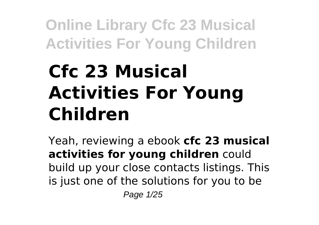# **Cfc 23 Musical Activities For Young Children**

Yeah, reviewing a ebook **cfc 23 musical activities for young children** could build up your close contacts listings. This is just one of the solutions for you to be Page 1/25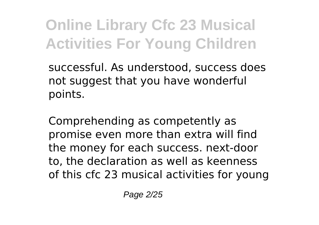successful. As understood, success does not suggest that you have wonderful points.

Comprehending as competently as promise even more than extra will find the money for each success. next-door to, the declaration as well as keenness of this cfc 23 musical activities for young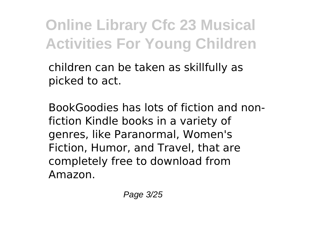children can be taken as skillfully as picked to act.

BookGoodies has lots of fiction and nonfiction Kindle books in a variety of genres, like Paranormal, Women's Fiction, Humor, and Travel, that are completely free to download from Amazon.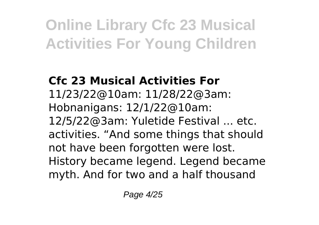### **Cfc 23 Musical Activities For** 11/23/22@10am: 11/28/22@3am: Hobnanigans: 12/1/22@10am: 12/5/22@3am: Yuletide Festival ... etc. activities. "And some things that should not have been forgotten were lost. History became legend. Legend became myth. And for two and a half thousand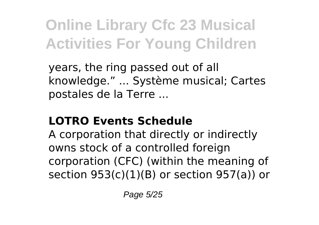years, the ring passed out of all knowledge." ... Système musical; Cartes postales de la Terre ...

### **LOTRO Events Schedule**

A corporation that directly or indirectly owns stock of a controlled foreign corporation (CFC) (within the meaning of section  $953(c)(1)(B)$  or section  $957(a)$ ) or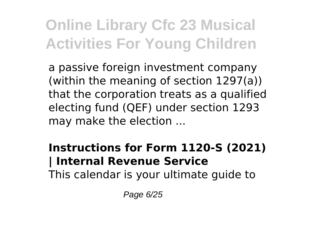a passive foreign investment company (within the meaning of section 1297(a)) that the corporation treats as a qualified electing fund (QEF) under section 1293 may make the election ...

#### **Instructions for Form 1120-S (2021) | Internal Revenue Service**

This calendar is your ultimate guide to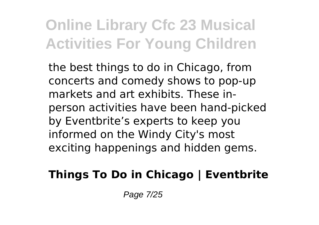the best things to do in Chicago, from concerts and comedy shows to pop-up markets and art exhibits. These inperson activities have been hand-picked by Eventbrite's experts to keep you informed on the Windy City's most exciting happenings and hidden gems.

### **Things To Do in Chicago | Eventbrite**

Page 7/25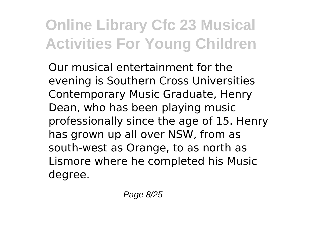Our musical entertainment for the evening is Southern Cross Universities Contemporary Music Graduate, Henry Dean, who has been playing music professionally since the age of 15. Henry has grown up all over NSW, from as south-west as Orange, to as north as Lismore where he completed his Music degree.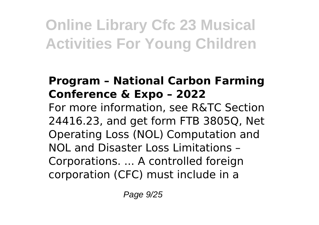### **Program – National Carbon Farming Conference & Expo – 2022**

For more information, see R&TC Section 24416.23, and get form FTB 3805Q, Net Operating Loss (NOL) Computation and NOL and Disaster Loss Limitations – Corporations. ... A controlled foreign corporation (CFC) must include in a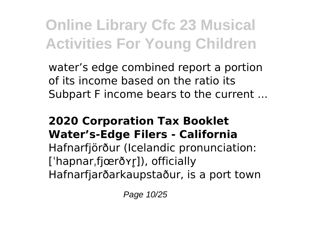water's edge combined report a portion of its income based on the ratio its Subpart F income bears to the current ...

#### **2020 Corporation Tax Booklet Water's-Edge Filers - California**

Hafnarfjörður (Icelandic pronunciation: ['hapnar,fjœrðyr]), officially Hafnarfjarðarkaupstaður, is a port town

Page 10/25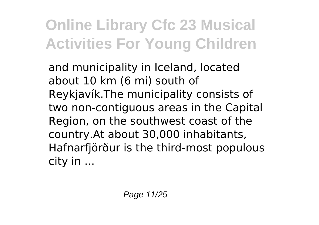and municipality in Iceland, located about 10 km (6 mi) south of Reykjavík.The municipality consists of two non-contiguous areas in the Capital Region, on the southwest coast of the country.At about 30,000 inhabitants, Hafnarfjörður is the third-most populous city in ...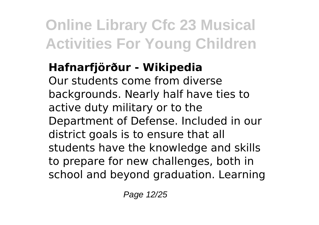### **Hafnarfjörður - Wikipedia**

Our students come from diverse backgrounds. Nearly half have ties to active duty military or to the Department of Defense. Included in our district goals is to ensure that all students have the knowledge and skills to prepare for new challenges, both in school and beyond graduation. Learning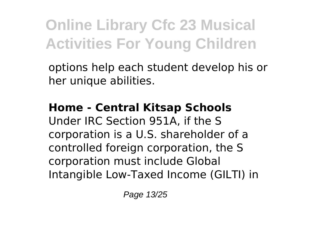options help each student develop his or her unique abilities.

#### **Home - Central Kitsap Schools**

Under IRC Section 951A, if the S corporation is a U.S. shareholder of a controlled foreign corporation, the S corporation must include Global Intangible Low-Taxed Income (GILTI) in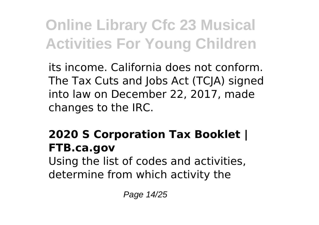its income. California does not conform. The Tax Cuts and Jobs Act (TCJA) signed into law on December 22, 2017, made changes to the IRC.

### **2020 S Corporation Tax Booklet | FTB.ca.gov**

Using the list of codes and activities, determine from which activity the

Page 14/25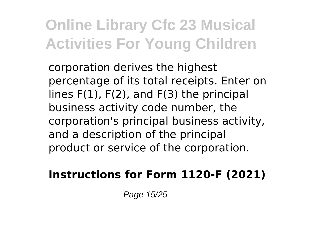corporation derives the highest percentage of its total receipts. Enter on lines F(1), F(2), and F(3) the principal business activity code number, the corporation's principal business activity, and a description of the principal product or service of the corporation.

### **Instructions for Form 1120-F (2021)**

Page 15/25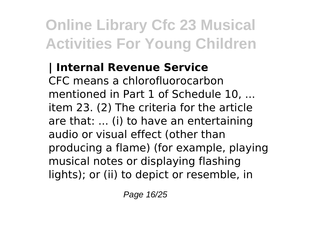### **| Internal Revenue Service** CFC means a chlorofluorocarbon mentioned in Part 1 of Schedule 10, ... item 23. (2) The criteria for the article are that: ... (i) to have an entertaining audio or visual effect (other than producing a flame) (for example, playing musical notes or displaying flashing lights); or (ii) to depict or resemble, in

Page 16/25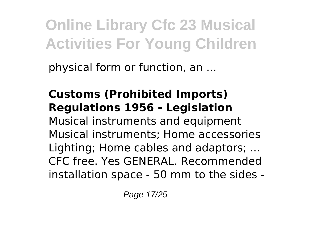physical form or function, an ...

### **Customs (Prohibited Imports) Regulations 1956 - Legislation**

Musical instruments and equipment Musical instruments; Home accessories Lighting; Home cables and adaptors; ... CFC free. Yes GENERAL. Recommended installation space - 50 mm to the sides -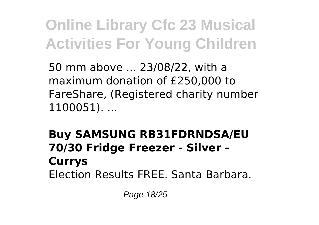50 mm above ... 23/08/22, with a maximum donation of £250,000 to FareShare, (Registered charity number 1100051). ...

### **Buy SAMSUNG RB31FDRNDSA/EU 70/30 Fridge Freezer - Silver - Currys** Election Results FREE. Santa Barbara.

Page 18/25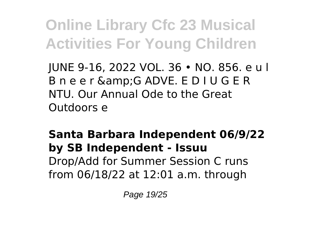JUNE 9-16, 2022 VOL. 36 • NO. 856. e u l B n e e r & G ADVE. E D I U G E R NTU. Our Annual Ode to the Great Outdoors e

**Santa Barbara Independent 06/9/22 by SB Independent - Issuu** Drop/Add for Summer Session C runs from 06/18/22 at 12:01 a.m. through

Page 19/25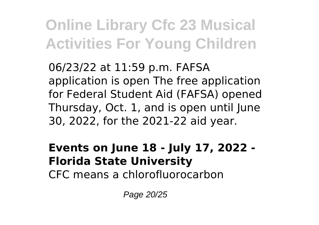06/23/22 at 11:59 p.m. FAFSA application is open The free application for Federal Student Aid (FAFSA) opened Thursday, Oct. 1, and is open until June 30, 2022, for the 2021-22 aid year.

### **Events on June 18 - July 17, 2022 - Florida State University**

CFC means a chlorofluorocarbon

Page 20/25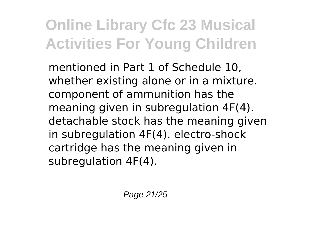mentioned in Part 1 of Schedule 10, whether existing alone or in a mixture. component of ammunition has the meaning given in subregulation 4F(4). detachable stock has the meaning given in subregulation 4F(4). electro-shock cartridge has the meaning given in subregulation 4F(4).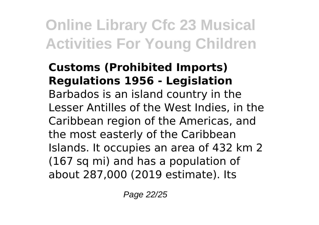#### **Customs (Prohibited Imports) Regulations 1956 - Legislation** Barbados is an island country in the Lesser Antilles of the West Indies, in the Caribbean region of the Americas, and the most easterly of the Caribbean Islands. It occupies an area of 432 km 2 (167 sq mi) and has a population of about 287,000 (2019 estimate). Its

Page 22/25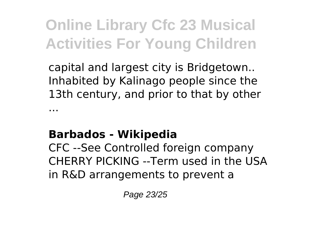capital and largest city is Bridgetown.. Inhabited by Kalinago people since the 13th century, and prior to that by other ...

### **Barbados - Wikipedia**

CFC --See Controlled foreign company CHERRY PICKING --Term used in the USA in R&D arrangements to prevent a

Page 23/25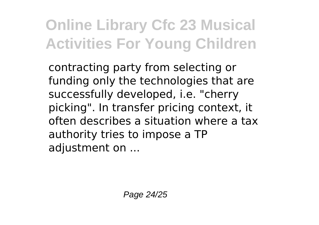contracting party from selecting or funding only the technologies that are successfully developed, i.e. "cherry picking". In transfer pricing context, it often describes a situation where a tax authority tries to impose a TP adjustment on ...